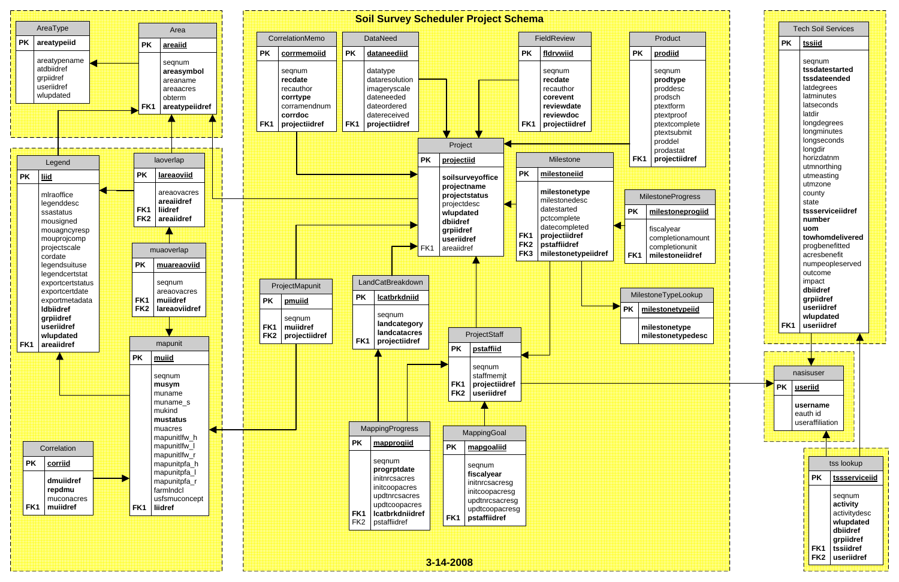|                                 |  |                         | <b>Tech Soil Services</b> |                            |                                |                    |  |
|---------------------------------|--|-------------------------|---------------------------|----------------------------|--------------------------------|--------------------|--|
| Product                         |  |                         | <b>PK</b>                 |                            | tssiid                         |                    |  |
| <u>prodiid</u>                  |  |                         |                           |                            | seqnum                         |                    |  |
| seqnum                          |  |                         |                           | tssdatestarted             |                                |                    |  |
| prodtype                        |  |                         |                           | tssdateended<br>latdegrees |                                |                    |  |
| proddesc                        |  |                         |                           |                            | latminutes                     |                    |  |
| orodsch<br>otextform            |  |                         |                           |                            | latseconds                     |                    |  |
| otextproof                      |  |                         |                           |                            | latdir                         |                    |  |
| otextcomplete                   |  |                         |                           |                            |                                | longdegrees        |  |
| otextsubmit                     |  |                         |                           |                            |                                | longminutes        |  |
| oroddel                         |  |                         |                           |                            |                                | longseconds        |  |
| prodastat                       |  |                         |                           |                            | longdir                        |                    |  |
| projectiidref                   |  |                         |                           |                            | horizdatnm<br>utmnorthing      |                    |  |
|                                 |  |                         |                           |                            |                                |                    |  |
|                                 |  |                         |                           |                            | utmeasting<br>utmzone          |                    |  |
|                                 |  |                         |                           |                            | county                         |                    |  |
| stoneProgress                   |  |                         |                           |                            | state                          |                    |  |
| ilestoneprogiid                 |  |                         |                           |                            | tssserviceiidref               |                    |  |
|                                 |  |                         |                           |                            | number                         |                    |  |
| scalyear                        |  |                         |                           |                            | uom                            |                    |  |
| ompletionamount                 |  |                         |                           |                            | towhomdelivered                |                    |  |
| ompletionunit<br>ilestoneiidref |  |                         |                           |                            | progbenefitted<br>acresbenefit |                    |  |
|                                 |  |                         |                           |                            | numpeopleserved                |                    |  |
|                                 |  |                         |                           |                            | outcome                        |                    |  |
|                                 |  |                         |                           |                            | impact                         |                    |  |
| neTypeLookup                    |  |                         |                           |                            | dbiidref                       |                    |  |
|                                 |  |                         |                           |                            | grpiidref                      |                    |  |
| stonetypeiid                    |  | useriidref<br>wlupdated |                           |                            |                                |                    |  |
| stonetype                       |  |                         | FK <sub>1</sub>           |                            | useriidref                     |                    |  |
| stonetypedesc                   |  |                         |                           |                            |                                |                    |  |
|                                 |  |                         |                           |                            |                                |                    |  |
|                                 |  |                         |                           |                            |                                |                    |  |
|                                 |  |                         |                           | nasisuser<br>useriid       |                                |                    |  |
|                                 |  |                         | <b>PK</b>                 |                            |                                |                    |  |
|                                 |  |                         |                           |                            | username                       |                    |  |
|                                 |  |                         | eauth id                  |                            |                                |                    |  |
|                                 |  | useraffiliation         |                           |                            |                                |                    |  |
|                                 |  |                         |                           |                            |                                |                    |  |
|                                 |  |                         |                           |                            |                                | tss lookup         |  |
|                                 |  |                         |                           |                            | <b>PK</b>                      | tssserviceiid      |  |
|                                 |  |                         |                           |                            |                                |                    |  |
|                                 |  |                         |                           |                            |                                | seqnum<br>activity |  |
|                                 |  |                         |                           |                            |                                | activitydesc       |  |
|                                 |  |                         |                           |                            |                                | wlupdated          |  |
|                                 |  |                         |                           |                            |                                | dbiidref           |  |
|                                 |  |                         |                           |                            |                                | grpiidref          |  |
|                                 |  |                         |                           |                            | FK <sub>1</sub>                | tssiidref          |  |
|                                 |  |                         |                           |                            | FK <sub>2</sub>                | useriidref         |  |
|                                 |  |                         |                           |                            |                                |                    |  |

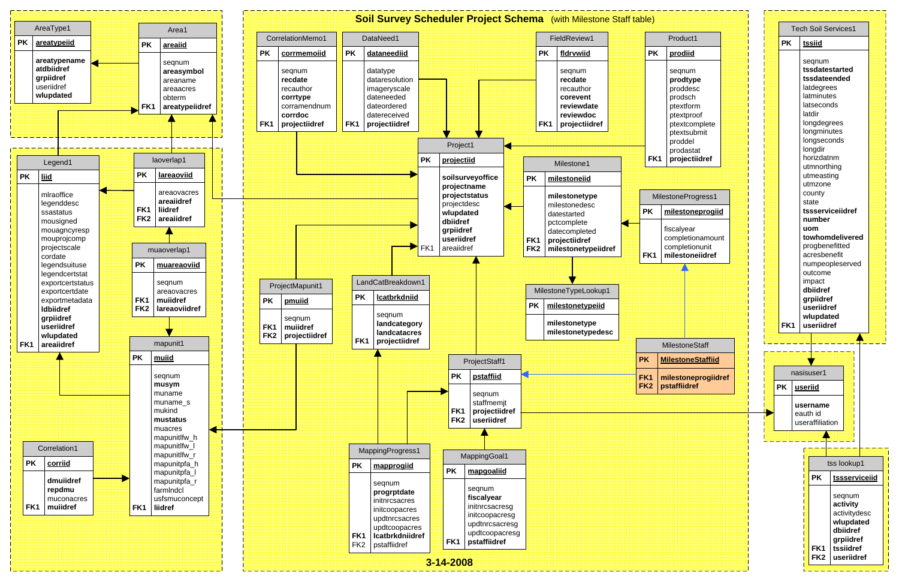